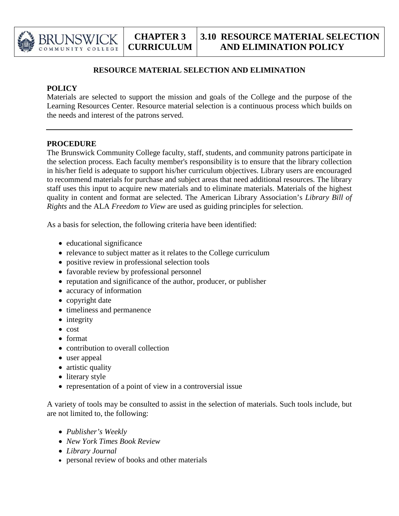

## **RESOURCE MATERIAL SELECTION AND ELIMINATION**

## **POLICY**

Materials are selected to support the mission and goals of the College and the purpose of the Learning Resources Center. Resource material selection is a continuous process which builds on the needs and interest of the patrons served.

## **PROCEDURE**

The Brunswick Community College faculty, staff, students, and community patrons participate in the selection process. Each faculty member's responsibility is to ensure that the library collection in his/her field is adequate to support his/her curriculum objectives. Library users are encouraged to recommend materials for purchase and subject areas that need additional resources. The library staff uses this input to acquire new materials and to eliminate materials. Materials of the highest quality in content and format are selected. The American Library Association's *Library Bill of Rights* and the ALA *Freedom to View* are used as guiding principles for selection.

As a basis for selection, the following criteria have been identified:

- educational significance
- relevance to subject matter as it relates to the College curriculum
- positive review in professional selection tools
- favorable review by professional personnel
- reputation and significance of the author, producer, or publisher
- accuracy of information
- copyright date
- timeliness and permanence
- integrity
- cost
- format
- contribution to overall collection
- user appeal
- artistic quality
- literary style
- representation of a point of view in a controversial issue

A variety of tools may be consulted to assist in the selection of materials. Such tools include, but are not limited to, the following:

- *Publisher's Weekly*
- *New York Times Book Review*
- *Library Journal*
- personal review of books and other materials